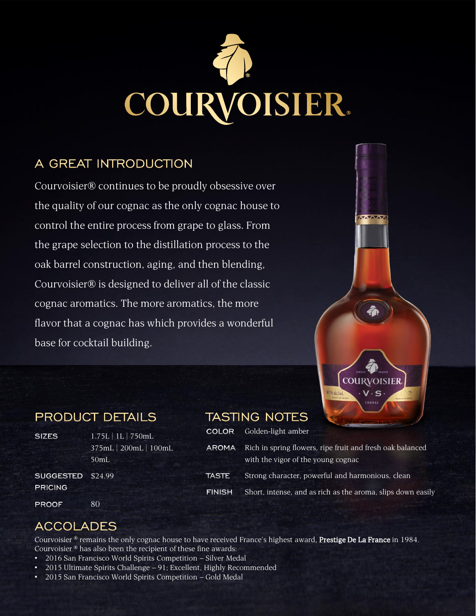

#### A GREAT INTRODUCTION

Courvoisier® continues to be proudly obsessive over the quality of our cognac as the only cognac house to control the entire process from grape to glass. From the grape selection to the distillation process to the oak barrel construction, aging, and then blending, Courvoisier® is designed to deliver all of the classic cognac aromatics. The more aromatics, the more flavor that a cognac has which provides a wonderful base for cocktail building.



**VAVAVAV** 

#### **PRODUCT DETAILS**

80

 $1.75L$  $375mL$ 50mL

| L   750mL         |               | <b>COLOR</b> Golden-light amber                                                                 |
|-------------------|---------------|-------------------------------------------------------------------------------------------------|
| $200mL$   $100mL$ | AROMA         | Rich in spring flowers, ripe fruit and fresh oak balanced<br>with the vigor of the young cognac |
|                   | TASTE I       | Strong character, powerful and harmonious, clean                                                |
|                   | <b>FINISH</b> | Short, intense, and as rich as the aroma, slips down easily                                     |

**TASTING NOTES** 

### **ACCOLADES**

SUGGESTED \$24.99

**SIZES** 

**PRICING** 

**PROOF** 

Courvoisier <sup>®</sup> remains the only cognac house to have received France's highest award, Prestige De La France in 1984. Courvoisier ® has also been the recipient of these fine awards:

- 2016 San Francisco World Spirits Competition Silver Medal
- 2015 Ultimate Spirits Challenge 91; Excellent, Highly Recommended
- 2015 San Francisco World Spirits Competition Gold Medal